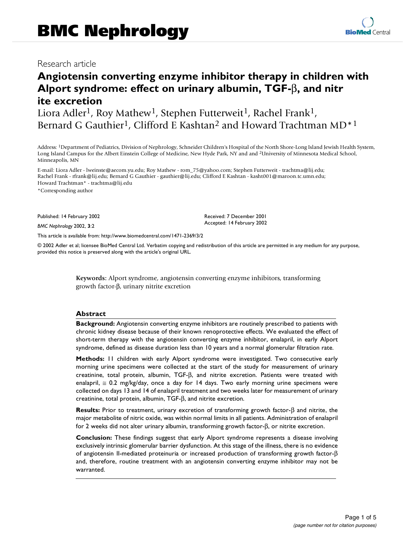## Research article

# **Angiotensin converting enzyme inhibitor therapy in children with Alport syndrome: effect on urinary albumin, TGF-**β**, and nitr ite excretion**

Liora Adler<sup>1</sup>, Roy Mathew<sup>1</sup>, Stephen Futterweit<sup>1</sup>, Rachel Frank<sup>1</sup>, Bernard G Gauthier<sup>1</sup>, Clifford E Kashtan<sup>2</sup> and Howard Trachtman MD<sup>\*1</sup>

Address: 1Department of Pediatrics, Division of Nephrology, Schneider Children's Hospital of the North Shore-Long Island Jewish Health System, Long Island Campus for the Albert Einstein College of Medicine, New Hyde Park, NY and and 2University of Minnesota Medical School, Minneapolis, MN

> Received: 7 December 2001 Accepted: 14 February 2002

E-mail: Liora Adler - lweinste@aecom.yu.edu; Roy Mathew - rom\_75@yahoo.com; Stephen Futterweit - trachtma@lij.edu; Rachel Frank - rfrank@lij.edu; Bernard G Gauthier - gauthier@lij.edu; Clifford E Kashtan - kasht001@maroon.tc.umn.edu; Howard Trachtman\* - trachtma@lij.edu

\*Corresponding author

Published: 14 February 2002

*BMC Nephrology* 2002, **3**:2

[This article is available from: http://www.biomedcentral.com/1471-2369/3/2](http://www.biomedcentral.com/1471-2369/3/2)

© 2002 Adler et al; licensee BioMed Central Ltd. Verbatim copying and redistribution of this article are permitted in any medium for any purpose, provided this notice is preserved along with the article's original URL.

> **Keywords:** Alport syndrome, angiotensin converting enzyme inhibitors, transforming growth factor-β, urinary nitrite excretion

#### **Abstract**

**Background:** Angiotensin converting enzyme inhibitors are routinely prescribed to patients with chronic kidney disease because of their known renoprotective effects. We evaluated the effect of short-term therapy with the angiotensin converting enzyme inhibitor, enalapril, in early Alport syndrome, defined as disease duration less than 10 years and a normal glomerular filtration rate.

**Methods:** 11 children with early Alport syndrome were investigated. Two consecutive early morning urine specimens were collected at the start of the study for measurement of urinary creatinine, total protein, albumin, TGF-β, and nitrite excretion. Patients were treated with enalapril,  $\approx$  0.2 mg/kg/day, once a day for 14 days. Two early morning urine specimens were collected on days 13 and 14 of enalapril treatment and two weeks later for measurement of urinary creatinine, total protein, albumin, TGF-β, and nitrite excretion.

**Results:** Prior to treatment, urinary excretion of transforming growth factor-β and nitrite, the major metabolite of nitric oxide, was within normal limits in all patients. Administration of enalapril for 2 weeks did not alter urinary albumin, transforming growth factor-β, or nitrite excretion.

**Conclusion:** These findings suggest that early Alport syndrome represents a disease involving exclusively intrinsic glomerular barrier dysfunction. At this stage of the illness, there is no evidence of angiotensin II-mediated proteinuria or increased production of transforming growth factor-β and, therefore, routine treatment with an angiotensin converting enzyme inhibitor may not be warranted.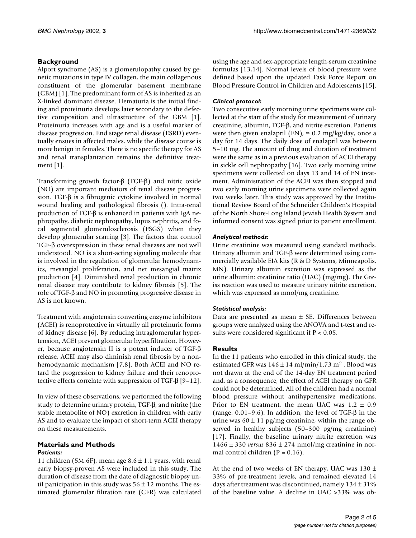## **Background**

Alport syndrome (AS) is a glomerulopathy caused by genetic mutations in type IV collagen, the main collagenous constituent of the glomerular basement membrane (GBM) [\[1\]](#page-3-0). The predominant form of AS is inherited as an X-linked dominant disease. Hematuria is the initial finding and proteinuria develops later secondary to the defective composition and ultrastructure of the GBM [[1](#page-3-0)]. Proteinuria increases with age and is a useful marker of disease progression. End stage renal disease (ESRD) eventually ensues in affected males, while the disease course is more benign in females. There is no specific therapy for AS and renal transplantation remains the definitive treatment [\[1\]](#page-3-0).

Transforming growth factor-β (TGF-β) and nitric oxide (NO) are important mediators of renal disease progression. TGF-β is a fibrogenic cytokine involved in normal wound healing and pathological fibrosis (). Intra-renal production of TGF-β is enhanced in patients with IgA nephropathy, diabetic nephropathy, lupus nephritis, and focal segmental glomerulosclerosis (FSGS) when they develop glomerular scarring [\[3](#page-3-1)]. The factors that control TGF-β overexpression in these renal diseases are not well understood. NO is a short-acting signaling molecule that is involved in the regulation of glomerular hemodynamics, mesangial proliferation, and net mesangial matrix production [\[4](#page-3-2)]. Diminished renal production in chronic renal disease may contribute to kidney fibrosis [\[5\]](#page-3-3). The role of TGF-β and NO in promoting progressive disease in AS is not known.

Treatment with angiotensin converting enzyme inhibitors (ACEI) is renoprotective in virtually all proteinuric forms of kidney disease [[6](#page-3-4)]. By reducing intraglomerular hypertension, ACEI prevent glomerular hyperfiltration. However, because angiotensin II is a potent inducer of TGF-β release, ACEI may also diminish renal fibrosis by a nonhemodynamic mechanism [\[7,](#page-3-5)[8\]](#page-3-6). Both ACEI and NO retard the progression to kidney failure and their renoprotective effects correlate with suppression of TGF-β [[9–](#page-3-7)[12\]](#page-3-8).

In view of these observations, we performed the following study to determine urinary protein, TGF-β, and nitrite (the stable metabolite of NO) excretion in children with early AS and to evaluate the impact of short-term ACEI therapy on these measurements.

#### **Materials and Methods** *Patients:*

11 children (5M:6F), mean age  $8.6 \pm 1.1$  years, with renal early biopsy-proven AS were included in this study. The duration of disease from the date of diagnostic biopsy until participation in this study was  $56 \pm 12$  months. The estimated glomerular filtration rate (GFR) was calculated using the age and sex-appropriate length-serum creatinine formulas [[13](#page-3-9)[,14](#page-3-10)]. Normal levels of blood pressure were defined based upon the updated Task Force Report on Blood Pressure Control in Children and Adolescents [\[15](#page-3-11)].

### *Clinical protocol:*

Two consecutive early morning urine specimens were collected at the start of the study for measurement of urinary creatinine, albumin, TGF-β, and nitrite excretion. Patients were then given enalapril (EN),  $\approx 0.2$  mg/kg/day, once a day for 14 days. The daily dose of enalapril was between 5–10 mg. The amount of drug and duration of treatment were the same as in a previous evaluation of ACEI therapy in sickle cell nephropathy [[16](#page-3-12)]. Two early morning urine specimens were collected on days 13 and 14 of EN treatment. Administration of the ACEI was then stopped and two early morning urine specimens were collected again two weeks later. This study was approved by the Institutional Review Board of the Schneider Children's Hospital of the North Shore-Long Island Jewish Health System and informed consent was signed prior to patient enrollment.

#### *Analytical methods:*

Urine creatinine was measured using standard methods. Urinary albumin and TGF-β were determined using commercially available EIA kits (R & D Systems, Minneapolis, MN). Urinary albumin excretion was expressed as the urine albumin: creatinine ratio (UAC) (mg/mg). The Greiss reaction was used to measure urinary nitrite excretion, which was expressed as nmol/mg creatinine.

#### *Statistical analysis:*

Data are presented as mean  $\pm$  SE. Differences between groups were analyzed using the ANOVA and t-test and results were considered significant if P < 0.05.

## **Results**

In the 11 patients who enrolled in this clinical study, the estimated GFR was  $146 \pm 14$  ml/min/1.73 m<sup>2</sup>. Blood was not drawn at the end of the 14-day EN treatment period and, as a consequence, the effect of ACEl therapy on GFR could not be determined. All of the children had a normal blood pressure without antihypertensive medications. Prior to EN treatment, the mean UAC was  $1.2 \pm 0.9$ (range:  $0.01-9.6$ ). In addition, the level of TGF- $\beta$  in the urine was  $60 \pm 11$  pg/mg creatinine, within the range observed in healthy subjects (50–300 pg/mg creatinine) [[17](#page-3-13)]. Finally, the baseline urinary nitrite excretion was 1466 ± 330 *versus* 836 ± 274 nmol/mg creatinine in normal control children  $(P = 0.16)$ .

At the end of two weeks of EN therapy, UAC was  $130 \pm$ 33% of pre-treatment levels, and remained elevated 14 days after treatment was discontinued, namely  $134 \pm 31\%$ of the baseline value. A decline in UAC >33% was ob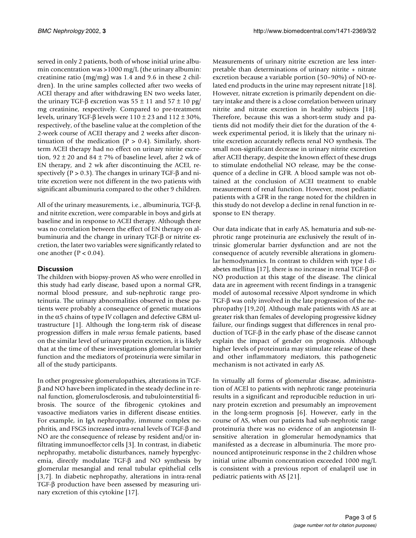served in only 2 patients, both of whose initial urine albumin concentration was >1000 mg/L (the urinary albumin: creatinine ratio (mg/mg) was 1.4 and 9.6 in these 2 children). In the urine samples collected after two weeks of ACEl therapy and after withdrawing EN two weeks later, the urinary TGF-β excretion was  $55 \pm 11$  and  $57 \pm 10$  pg/ mg creatinine, respectively. Compared to pre-treatment levels, urinary TGF-β levels were  $110 \pm 23$  and  $112 \pm 30$ %, respectively, of the baseline value at the completion of the 2-week course of ACEI therapy and 2 weeks after discontinuation of the medication ( $P > 0.4$ ). Similarly, shortterm ACEI therapy had no effect on urinary nitrite excretion,  $92 \pm 20$  and  $84 \pm 7$ % of baseline level, after 2 wk of EN therapy, and 2 wk after discontinuing the ACEI, respectively ( $P > 0.3$ ). The changes in urinary TGF- $\beta$  and nitrite excretion were not different in the two patients with significant albuminuria compared to the other 9 children.

All of the urinary measurements, i.e., albuminuria, TGF-β, and nitrite excretion, were comparable in boys and girls at baseline and in response to ACEI therapy. Although there was no correlation between the effect of EN therapy on albuminuria and the change in urinary TGF-β or nitrite excretion, the later two variables were significantly related to one another ( $P < 0.04$ ).

## **Discussion**

The children with biopsy-proven AS who were enrolled in this study had early disease, based upon a normal GFR, normal blood pressure, and sub-nephrotic range proteinuria. The urinary abnormalities observed in these patients were probably a consequence of genetic mutations in the  $\alpha$ 5 chains of type IV collagen and defective GBM ultrastructure [[1](#page-3-0)]. Although the long-term risk of disease progression differs in male *versus* female patients, based on the similar level of urinary protein excretion, it is likely that at the time of these investigations glomerular barrier function and the mediators of proteinuria were similar in all of the study participants.

In other progressive glomerulopathies, alterations in TGFβ and NO have been implicated in the steady decline in renal function, glomerulosclerosis, and tubulointerstitial fibrosis. The source of the fibrogenic cytokines and vasoactive mediators varies in different disease entities. For example, in IgA nephropathy, immune complex nephritis, and FSGS increased intra-renal levels of TGF-β and NO are the consequence of release by resident and/or infiltrating immunoeffector cells [[3](#page-3-1)]. In contrast, in diabetic nephropathy, metabolic disturbances, namely hyperglycemia, directly modulate TGF-β and NO synthesis by glomerular mesangial and renal tubular epithelial cells [[3](#page-3-1)[,7](#page-3-5)]. In diabetic nephropathy, alterations in intra-renal TGF-β production have been assessed by measuring urinary excretion of this cytokine [\[17\]](#page-3-13).

Measurements of urinary nitrite excretion are less interpretable than determinations of urinary nitrite + nitrate excretion because a variable portion (50–90%) of NO-related end products in the urine may represent nitrate [\[18](#page-3-14)]. However, nitrate excretion is primarily dependent on dietary intake and there is a close correlation between urinary nitrite and nitrate excretion in healthy subjects [\[18](#page-3-14)]. Therefore, because this was a short-term study and patients did not modify their diet for the duration of the 4 week experimental period, it is likely that the urinary nitrite excretion accurately reflects renal NO synthesis. The small non-significant decrease in urinary nitrite excretion after ACEI therapy, despite the known effect of these drugs to stimulate endothelial NO release, may be the consequence of a decline in GFR. A blood sample was not obtained at the conclusion of ACEI treatment to enable measurement of renal function. However, most pediatric patients with a GFR in the range noted for the children in this study do not develop a decline in renal function in response to EN therapy.

Our data indicate that in early AS, hematuria and sub-nephrotic range proteinuria are exclusively the result of intrinsic glomerular barrier dysfunction and are not the consequence of acutely reversible alterations in glomerular hemodynamics. In contrast to children with type I diabetes mellitus [\[17](#page-3-13)], there is no increase in renal TGF-β or NO production at this stage of the disease. The clinical data are in agreement with recent findings in a transgenic model of autosomal recessive Alport syndrome in which TGF-β was only involved in the late progression of the nephropathy [\[19](#page-3-15),[20](#page-3-16)]. Although male patients with AS are at greater risk than females of developing progressive kidney failure, our findings suggest that differences in renal production of TGF-β in the early phase of the disease cannot explain the impact of gender on prognosis. Although higher levels of proteinuria may stimulate release of these and other inflammatory mediators, this pathogenetic mechanism is not activated in early AS.

In virtually all forms of glomerular disease, administration of ACEl to patients with nephrotic range proteinuria results in a significant and reproducible reduction in urinary protein excretion and presumably an improvement in the long-term prognosis [[6](#page-3-4)]. However, early in the course of AS, when our patients had sub-nephrotic range proteinuria there was no evidence of an angiotensin IIsensitive alteration in glomerular hemodynamics that manifested as a decrease in albuminuria. The more pronounced antiproteinuric response in the 2 children whose initial urine albumin concentration exceeded 1000 mg/L is consistent with a previous report of enalapril use in pediatric patients with AS [[21\]](#page-4-0).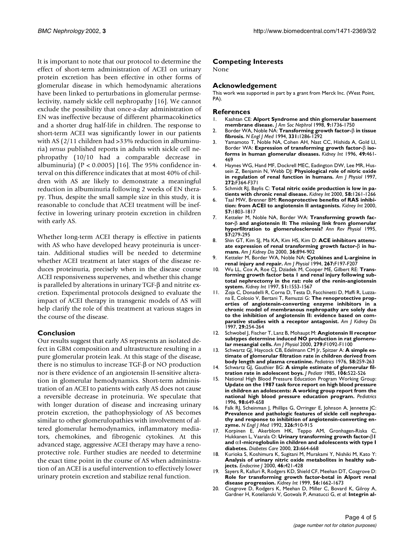It is important to note that our protocol to determine the effect of short-term administration of ACEl on urinary protein excretion has been effective in other forms of glomerular disease in which hemodynamic alterations have been linked to perturbations in glomerular permselectivity, namely sickle cell nephropathy [\[16](#page-3-12)]. We cannot exclude the possibility that once-a-day administration of EN was ineffective because of different pharmacokinetics and a shorter drug half-life in children. The response to short-term ACEI was significantly lower in our patients with AS (2/11 children had >33% reduction in albuminuria) *versus* published reports in adults with sickle cell nephropathy (10/10 had a comparable decrease in albuminuria) ( $P < 0.0005$ ) [\[16](#page-3-12)]. The 95% confidence interval on this difference indicates that at most 40% of children with AS are likely to demonstrate a meaningful reduction in albuminuria following 2 weeks of EN therapy. Thus, despite the small sample size in this study, it is reasonable to conclude that ACEI treatment will be ineffective in lowering urinary protein excretion in children with early AS.

Whether long-term ACEI therapy is effective in patients with AS who have developed heavy proteinuria is uncertain. Additional studies will be needed to determine whether ACEI treatment at later stages of the disease reduces proteinuria, precisely when in the disease course ACEI responsiveness supervenes, and whether this change is paralleled by alterations in urinary TGF-β and nitrite excretion. Experimental protocols designed to evaluate the impact of ACEI therapy in transgenic models of AS will help clarify the role of this treatment at various stages in the course of the disease.

#### **Conclusion**

Our results suggest that early AS represents an isolated defect in GBM composition and ultrastructure resulting in a pure glomerular protein leak. At this stage of the disease, there is no stimulus to increase TGF-β or NO production nor is there evidence of an angiotensin II-sensitive alteration in glomerular hemodynamics. Short-term administration of an ACEI to patients with early AS does not cause a reversible decrease in proteinuria. We speculate that with longer duration of disease and increasing urinary protein excretion, the pathophysiology of AS becomes similar to other glomerulopathies with involvement of altered glomerular hemodynamics, inflammatory mediators, chemokines, and fibrogenic cytokines. At this advanced stage, aggressive ACEI therapy may have a renoprotective role. Further studies are needed to determine the exact time point in the course of AS when administration of an ACEI is a useful intervention to effectively lower urinary protein excretion and stabilize renal function.

#### **Competing Interests**

None

#### **Acknowledgement**

This work was supported in part by a grant from Merck Inc. (West Point, PA).

#### **References**

- <span id="page-3-0"></span>1. [Kashtan CE:](http://www.ncbi.nlm.nih.gov/entrez/query.fcgi?cmd=Retrieve&db=PubMed&dopt=Abstract&list_uids=9727383) **Alport Syndrome and thin glomerular basement membrane disease.** *J Am Soc Nephrol* 1998, **9:**1736-1750
- 2. [Border WA, Noble NA:](http://www.ncbi.nlm.nih.gov/entrez/query.fcgi?cmd=Retrieve&db=PubMed&dopt=Abstract&list_uids=7935686) **Transforming growth factor-**β **in tissue fibrosis.** *N Engl J Med* 1994, **331:**1286-1292
- <span id="page-3-1"></span>3. [Yamamoto T, Noble NA, Cohen AH, Nast CC, Hishida A, Gold LI,](http://www.ncbi.nlm.nih.gov/entrez/query.fcgi?cmd=Retrieve&db=PubMed&dopt=Abstract&list_uids=8821830) [Border WA:](http://www.ncbi.nlm.nih.gov/entrez/query.fcgi?cmd=Retrieve&db=PubMed&dopt=Abstract&list_uids=8821830) **Expression of transforming growth factor-**β **isoforms in human glomerular diseases.** *Kidney Int* 1996, **49:**461- 469
- <span id="page-3-2"></span>4. [Haynes WG, Hand MF, Dockrell MEC, Eadington DW, Lee MR, Hus](http://www.ncbi.nlm.nih.gov/entrez/query.fcgi?cmd=Retrieve&db=PubMed&dopt=Abstract&list_uids=9087680)[sein Z, Benjamin N, Webb DJ:](http://www.ncbi.nlm.nih.gov/entrez/query.fcgi?cmd=Retrieve&db=PubMed&dopt=Abstract&list_uids=9087680) **Physiological role of nitric oxide in regulation of renal function in humans.** *Am J Physiol* 1997, **272:**F364-F371
- <span id="page-3-3"></span>5. [Schmidt RJ, Baylis C:](http://www.ncbi.nlm.nih.gov/entrez/query.fcgi?cmd=Retrieve&db=PubMed&dopt=Abstract&list_uids=10972689) **Total nitric oxide production is low in patients with chronic renal disease.** *Kidney Int* 2000, **58:**1261-1266
- <span id="page-3-4"></span>6. [Taal MW, Brenner BM:](http://www.ncbi.nlm.nih.gov/entrez/query.fcgi?cmd=Retrieve&db=PubMed&dopt=Abstract&list_uids=10792600) **Renoprotective benefits of RAS inhibition: from ACEI to angiotensin II antagonists.** *Kidney Int* 2000, **57:**1803-1817
- <span id="page-3-5"></span>7. Ketteler M, Noble NA, Border WA: **Transforming growth factor-**β **and angiotensin II: The missing link from glomerular hyperfiltration to glomerulosclerosis?** *Ann Rev Physiol* 1995, **57:**279-295
- <span id="page-3-6"></span>8. [Shin GT, Kim SJ, Ma KA, Kim HS, Kim D:](http://www.ncbi.nlm.nih.gov/entrez/query.fcgi?cmd=Retrieve&db=PubMed&dopt=Abstract&list_uids=11054345) **ACE inhibitors attenuate expression of renal transforming growth factor-**β **in humans.** *Am J Kidney Dis* 2000, **36:**894-902
- <span id="page-3-7"></span>9. [Ketteler M, Border WA, Noble NA:](http://www.ncbi.nlm.nih.gov/entrez/query.fcgi?cmd=Retrieve&db=PubMed&dopt=Abstract&list_uids=8067379) **Cytokines and L-arginine in renal injury and repair.** *Am J Physiol* 1994, **267:**F197-F207
- 10. [Wu LL, Cox A, Roe CJ, Dziadek M, Cooper ME, Gilbert RE:](http://www.ncbi.nlm.nih.gov/entrez/query.fcgi?cmd=Retrieve&db=PubMed&dopt=Abstract&list_uids=9150473) **Transforming growth factor beta 1 and renal injury following subtotal nephrectomy in the rat: role of the renin-angiotensin system.** *Kidney Int* 1997, **51:**1553-1567
- 11. [Zoja C, Donadelli R, Corna D, Testa D, Facchinetti D, Maffi R, Luzza](http://www.ncbi.nlm.nih.gov/entrez/query.fcgi?cmd=Retrieve&db=PubMed&dopt=Abstract&list_uids=9016898)[na E, Colosio V, Bertani T, Remuzzi G:](http://www.ncbi.nlm.nih.gov/entrez/query.fcgi?cmd=Retrieve&db=PubMed&dopt=Abstract&list_uids=9016898) **The renoprotective properties of angiotensin-converting enzyme inhibitors in a chronic model of membranous nephropathy are solely due to the inhibition of angiotensin II: evidence based on comparative studies with a receptor antagonist.** *Am J Kidney Dis* 1997, **29:**254-264
- <span id="page-3-8"></span>12. Schwobel J, Fischer T, Lanz B, Mohaupt M: **Angiotensin II receptor subtypes determine induced NO production in rat glomerular mesangial cells.** *Am J Physiol* 2000, **279:**F1092-F1100
- <span id="page-3-9"></span>13. [Schwartz GJ, Haycock CB, Edelmann CM Jr, Spitzer A:](http://www.ncbi.nlm.nih.gov/entrez/query.fcgi?cmd=Retrieve&db=PubMed&dopt=Abstract&list_uids=951142) **A simple estimate of glomerular filtration rate in children derived from body length and plasma creatinine.** *Pediatrics* 1976, **58:**259-263
- <span id="page-3-10"></span>14. [Schwartz GJ, Gauthier BG:](http://www.ncbi.nlm.nih.gov/entrez/query.fcgi?cmd=Retrieve&db=PubMed&dopt=Abstract&list_uids=3973793) A simple estimate of glomerular fil**tration rate in adolescent boys.** *J Pediatr* 1985, **106:**522-526
- <span id="page-3-11"></span>15. [National High Blood Pressure Education Program Working Group:](http://www.ncbi.nlm.nih.gov/entrez/query.fcgi?cmd=Retrieve&db=PubMed&dopt=Abstract&list_uids=8885941) **Update on the 1987 task force report on high blood pressure in children an adolescents: A working group report from the national high blood pressure education program.** *Pediatrics* 1996, **98:**649-658
- <span id="page-3-12"></span>[16. Falk RJ, Scheinman J, Phillips G, Orringer E, Johnson A, Jennette JC:](http://www.ncbi.nlm.nih.gov/entrez/query.fcgi?cmd=Retrieve&db=PubMed&dopt=Abstract&list_uids=1542341) **Prevalence and pathologic features of sickle cell nephropathy and response to inhibition of angiotensin-converting enzyme.** *N Engl J Med* 1992, **326:**910-915
- <span id="page-3-13"></span>17. [Korpinen E, Akerblom HK, Teppo AM, Gronhagen-Riska C,](http://www.ncbi.nlm.nih.gov/entrez/query.fcgi?cmd=Retrieve&db=PubMed&dopt=Abstract&list_uids=10834427) [Hukkanen L, Vaarala O:](http://www.ncbi.nlm.nih.gov/entrez/query.fcgi?cmd=Retrieve&db=PubMed&dopt=Abstract&list_uids=10834427) **Urinary transforming growth factor-**β**1 and** α**1-microglobulin in children and adolescents with type I diabetes.** *Diabetes Care* 2000, **23:**664-668
- <span id="page-3-14"></span>18. Kurioka S, Koshimura K, Sugitani M, Murakami Y, Nishiki M, Kato Y: **Analysis of urinary nitric oxide metabolites in healthy subjects.** *Endocrine J* 2000, **46:**421-428
- <span id="page-3-15"></span>19. [Sayers R, Kalluri R, Rodgers KD, Shield CF, Meehan DT, Cosgrove D:](http://www.ncbi.nlm.nih.gov/entrez/query.fcgi?cmd=Retrieve&db=PubMed&dopt=Abstract&list_uids=10571774) **Role for transforming growth factor-betal in Alport renal disease progression.** *Kidney Int* 1999, **56:**1662-1673
- <span id="page-3-16"></span>20. [Cosgrove D, Rodgers K, Meehan D, Miller C, Bovard K, Gilroy A,](http://www.ncbi.nlm.nih.gov/entrez/query.fcgi?cmd=Retrieve&db=PubMed&dopt=Abstract&list_uids=11073824) [Gardner H, Kotelianski V, Gotwals P, Amatucci G,](http://www.ncbi.nlm.nih.gov/entrez/query.fcgi?cmd=Retrieve&db=PubMed&dopt=Abstract&list_uids=11073824) *et al*: **Integrin al-**